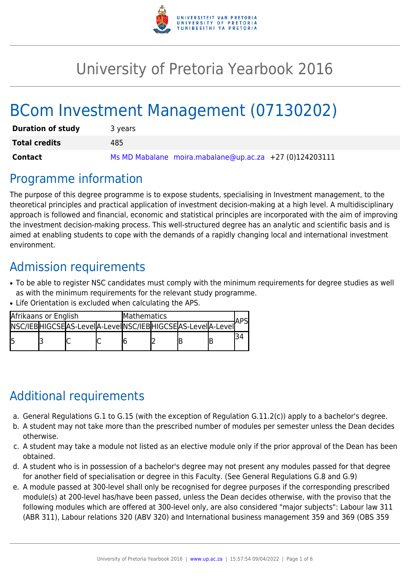

# University of Pretoria Yearbook 2016

# BCom Investment Management (07130202)

| <b>Duration of study</b> | 3 years                                                 |  |  |  |  |
|--------------------------|---------------------------------------------------------|--|--|--|--|
| <b>Total credits</b>     | 485                                                     |  |  |  |  |
| <b>Contact</b>           | Ms MD Mabalane moira.mabalane@up.ac.za +27 (0)124203111 |  |  |  |  |

### Programme information

The purpose of this degree programme is to expose students, specialising in Investment management, to the theoretical principles and practical application of investment decision-making at a high level. A multidisciplinary approach is followed and financial, economic and statistical principles are incorporated with the aim of improving the investment decision-making process. This well-structured degree has an analytic and scientific basis and is aimed at enabling students to cope with the demands of a rapidly changing local and international investment environment.

# Admission requirements

- To be able to register NSC candidates must comply with the minimum requirements for degree studies as well as with the minimum requirements for the relevant study programme.
- Life Orientation is excluded when calculating the APS.

| Afrikaans or English |  |                                                             | <b>Mathematics</b> |  |  |  |  |  |
|----------------------|--|-------------------------------------------------------------|--------------------|--|--|--|--|--|
|                      |  | INSC/IEBHIGCSEAS-LeveIA-LeveIINSC/IEBHIGCSEAS-LeveIA-LeveII |                    |  |  |  |  |  |
|                      |  |                                                             |                    |  |  |  |  |  |

# Additional requirements

- a. General Regulations G.1 to G.15 (with the exception of Regulation G.11.2(c)) apply to a bachelor's degree.
- b. A student may not take more than the prescribed number of modules per semester unless the Dean decides otherwise.
- c. A student may take a module not listed as an elective module only if the prior approval of the Dean has been obtained.
- d. A student who is in possession of a bachelor's degree may not present any modules passed for that degree for another field of specialisation or degree in this Faculty. (See General Regulations G.8 and G.9)
- e. A module passed at 300-level shall only be recognised for degree purposes if the corresponding prescribed module(s) at 200-level has/have been passed, unless the Dean decides otherwise, with the proviso that the following modules which are offered at 300-level only, are also considered "major subjects": Labour law 311 (ABR 311), Labour relations 320 (ABV 320) and International business management 359 and 369 (OBS 359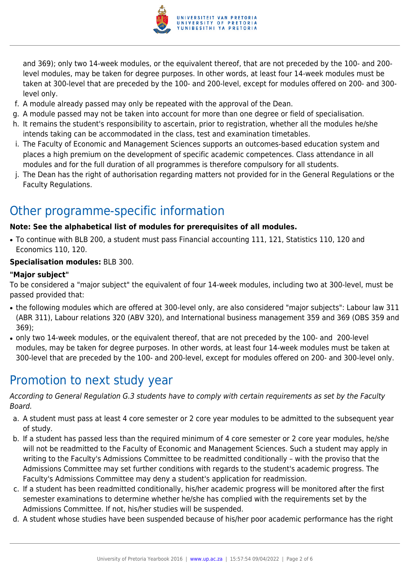

and 369); only two 14-week modules, or the equivalent thereof, that are not preceded by the 100- and 200 level modules, may be taken for degree purposes. In other words, at least four 14-week modules must be taken at 300-level that are preceded by the 100- and 200-level, except for modules offered on 200- and 300 level only.

- f. A module already passed may only be repeated with the approval of the Dean.
- g. A module passed may not be taken into account for more than one degree or field of specialisation.
- h. It remains the student's responsibility to ascertain, prior to registration, whether all the modules he/she intends taking can be accommodated in the class, test and examination timetables.
- i. The Faculty of Economic and Management Sciences supports an outcomes-based education system and places a high premium on the development of specific academic competences. Class attendance in all modules and for the full duration of all programmes is therefore compulsory for all students.
- j. The Dean has the right of authorisation regarding matters not provided for in the General Regulations or the Faculty Regulations.

## Other programme-specific information

#### **Note: See the alphabetical list of modules for prerequisites of all modules.**

● To continue with BLB 200, a student must pass Financial accounting 111, 121, Statistics 110, 120 and Economics 110, 120.

#### **Specialisation modules:** BLB 300.

#### **"Major subject"**

To be considered a "major subject" the equivalent of four 14-week modules, including two at 300-level, must be passed provided that:

- the following modules which are offered at 300-level only, are also considered "major subjects": Labour law 311 (ABR 311), Labour relations 320 (ABV 320), and International business management 359 and 369 (OBS 359 and 369);
- only two 14-week modules, or the equivalent thereof, that are not preceded by the 100- and 200-level modules, may be taken for degree purposes. In other words, at least four 14-week modules must be taken at 300-level that are preceded by the 100- and 200-level, except for modules offered on 200- and 300-level only.

## Promotion to next study year

According to General Regulation G.3 students have to comply with certain requirements as set by the Faculty Board.

- a. A student must pass at least 4 core semester or 2 core year modules to be admitted to the subsequent year of study.
- b. If a student has passed less than the required minimum of 4 core semester or 2 core year modules, he/she will not be readmitted to the Faculty of Economic and Management Sciences. Such a student may apply in writing to the Faculty's Admissions Committee to be readmitted conditionally – with the proviso that the Admissions Committee may set further conditions with regards to the student's academic progress. The Faculty's Admissions Committee may deny a student's application for readmission.
- c. If a student has been readmitted conditionally, his/her academic progress will be monitored after the first semester examinations to determine whether he/she has complied with the requirements set by the Admissions Committee. If not, his/her studies will be suspended.
- d. A student whose studies have been suspended because of his/her poor academic performance has the right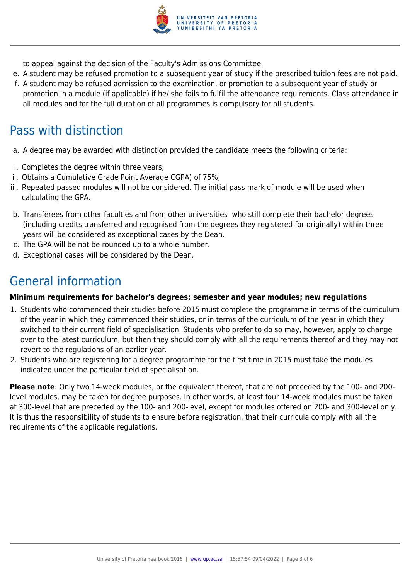

to appeal against the decision of the Faculty's Admissions Committee.

- e. A student may be refused promotion to a subsequent year of study if the prescribed tuition fees are not paid.
- f. A student may be refused admission to the examination, or promotion to a subsequent year of study or promotion in a module (if applicable) if he/ she fails to fulfil the attendance requirements. Class attendance in all modules and for the full duration of all programmes is compulsory for all students.

# Pass with distinction

- a. A degree may be awarded with distinction provided the candidate meets the following criteria:
- i. Completes the degree within three years;
- ii. Obtains a Cumulative Grade Point Average CGPA) of 75%;
- iii. Repeated passed modules will not be considered. The initial pass mark of module will be used when calculating the GPA.
- b. Transferees from other faculties and from other universities who still complete their bachelor degrees (including credits transferred and recognised from the degrees they registered for originally) within three years will be considered as exceptional cases by the Dean.
- c. The GPA will be not be rounded up to a whole number.
- d. Exceptional cases will be considered by the Dean.

# General information

#### **Minimum requirements for bachelor's degrees; semester and year modules; new regulations**

- 1. Students who commenced their studies before 2015 must complete the programme in terms of the curriculum of the year in which they commenced their studies, or in terms of the curriculum of the year in which they switched to their current field of specialisation. Students who prefer to do so may, however, apply to change over to the latest curriculum, but then they should comply with all the requirements thereof and they may not revert to the regulations of an earlier year.
- 2. Students who are registering for a degree programme for the first time in 2015 must take the modules indicated under the particular field of specialisation.

**Please note**: Only two 14-week modules, or the equivalent thereof, that are not preceded by the 100- and 200 level modules, may be taken for degree purposes. In other words, at least four 14-week modules must be taken at 300-level that are preceded by the 100- and 200-level, except for modules offered on 200- and 300-level only. It is thus the responsibility of students to ensure before registration, that their curricula comply with all the requirements of the applicable regulations.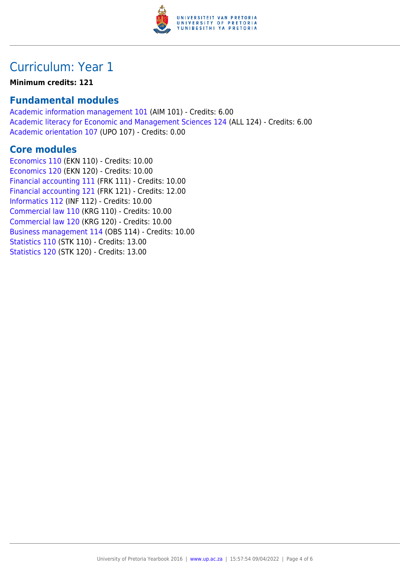

## Curriculum: Year 1

#### **Minimum credits: 121**

### **Fundamental modules**

[Academic information management 101](https://www.up.ac.za/yearbooks/2016/modules/view/AIM 101) (AIM 101) - Credits: 6.00 [Academic literacy for Economic and Management Sciences 124](https://www.up.ac.za/yearbooks/2016/modules/view/ALL 124) (ALL 124) - Credits: 6.00 [Academic orientation 107](https://www.up.ac.za/yearbooks/2016/modules/view/UPO 107) (UPO 107) - Credits: 0.00

### **Core modules**

[Economics 110](https://www.up.ac.za/yearbooks/2016/modules/view/EKN 110) (EKN 110) - Credits: 10.00 [Economics 120](https://www.up.ac.za/yearbooks/2016/modules/view/EKN 120) (EKN 120) - Credits: 10.00 [Financial accounting 111](https://www.up.ac.za/yearbooks/2016/modules/view/FRK 111) (FRK 111) - Credits: 10.00 [Financial accounting 121](https://www.up.ac.za/yearbooks/2016/modules/view/FRK 121) (FRK 121) - Credits: 12.00 [Informatics 112](https://www.up.ac.za/yearbooks/2016/modules/view/INF 112) (INF 112) - Credits: 10.00 [Commercial law 110](https://www.up.ac.za/yearbooks/2016/modules/view/KRG 110) (KRG 110) - Credits: 10.00 [Commercial law 120](https://www.up.ac.za/yearbooks/2016/modules/view/KRG 120) (KRG 120) - Credits: 10.00 [Business management 114](https://www.up.ac.za/yearbooks/2016/modules/view/OBS 114) (OBS 114) - Credits: 10.00 [Statistics 110](https://www.up.ac.za/yearbooks/2016/modules/view/STK 110) (STK 110) - Credits: 13.00 [Statistics 120](https://www.up.ac.za/yearbooks/2016/modules/view/STK 120) (STK 120) - Credits: 13.00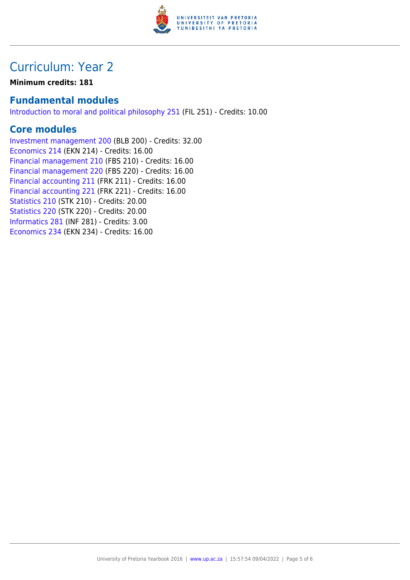

## Curriculum: Year 2

**Minimum credits: 181**

### **Fundamental modules**

[Introduction to moral and political philosophy 251](https://www.up.ac.za/yearbooks/2016/modules/view/FIL 251) (FIL 251) - Credits: 10.00

### **Core modules**

[Investment management 200](https://www.up.ac.za/yearbooks/2016/modules/view/BLB 200) (BLB 200) - Credits: 32.00 [Economics 214](https://www.up.ac.za/yearbooks/2016/modules/view/EKN 214) (EKN 214) - Credits: 16.00 [Financial management 210](https://www.up.ac.za/yearbooks/2016/modules/view/FBS 210) (FBS 210) - Credits: 16.00 [Financial management 220](https://www.up.ac.za/yearbooks/2016/modules/view/FBS 220) (FBS 220) - Credits: 16.00 [Financial accounting 211](https://www.up.ac.za/yearbooks/2016/modules/view/FRK 211) (FRK 211) - Credits: 16.00 [Financial accounting 221](https://www.up.ac.za/yearbooks/2016/modules/view/FRK 221) (FRK 221) - Credits: 16.00 [Statistics 210](https://www.up.ac.za/yearbooks/2016/modules/view/STK 210) (STK 210) - Credits: 20.00 [Statistics 220](https://www.up.ac.za/yearbooks/2016/modules/view/STK 220) (STK 220) - Credits: 20.00 [Informatics 281](https://www.up.ac.za/yearbooks/2016/modules/view/INF 281) (INF 281) - Credits: 3.00 [Economics 234](https://www.up.ac.za/yearbooks/2016/modules/view/EKN 234) (EKN 234) - Credits: 16.00